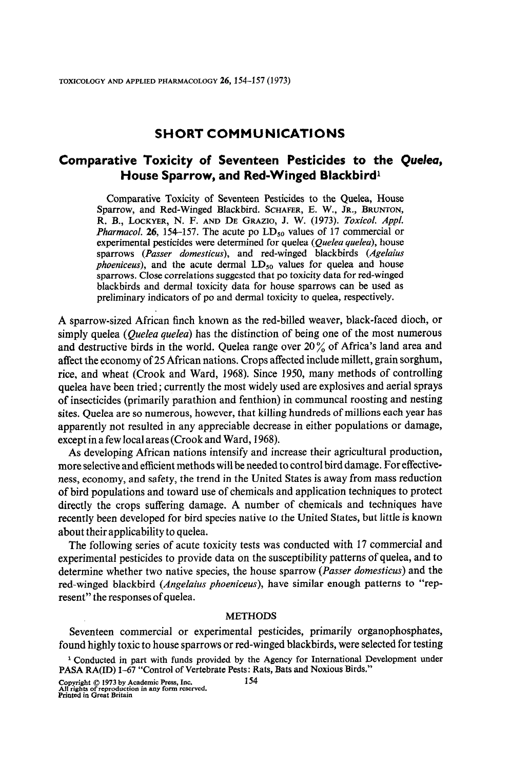## SHORT COMMUNICATIONS

## Comparative Toxicity of Seventeen Pesticides to the Queleu, House Sparrow, and Red-Winged Blackbird1

Comparative Toxicity of Seventeen Pesticides to the Quelea, House Sparrow, and Red-Winged Blackbird. SCHAFER, E. W., JR., BRUNTON, R. B., LOCKYER, N. F. AND DE GRAZIO, J. W. (1973). Toxicol. Appl. *Pharmacol.* 26, 154-157. The acute po  $LD_{50}$  values of 17 commercial or experimental pesticides were determined for quelea (Quelea quelea), house sparrows (Passer domesticus), and red-winged blackbirds (Agelaius *phoeniceus*), and the acute dermal  $LD_{50}$  values for quelea and house sparrows. Close correlations suggested that po toxicity data for red-winged blackbirds and dermal toxicity data for house sparrows can be used as preliminary indicators of po and dermal toxicity to quelea, respectively.

A sparrow-sized African finch known as the red-billed weaver, black-faced dioch, or simply quelea (Quelea quelea) has the distinction of being one of the most numerous and destructive birds in the world. Quelea range over 20 % of Africa's land area and affect the economy of 25 African nations. Crops affected include millett, grain sorghum, rice, and wheat (Crook and Ward, 1968). Since 1950, many methods of controlling quelea have been tried; currently the most widely used are explosives and aerial sprays of insecticides (primarily parathion and fenthion) in communcal roosting and nesting sites. Quelea are so numerous, however, that killing hundreds of millions each year has apparently not resulted in any appreciable decrease in either populations or damage, except in a few local areas (Crook and Ward, 1968).

As developing African nations intensify and increase their agricultural production, more selective and efficient methods with the networks with a presentative-procedurenote streetive and emergin memors will be treated to control on a damage. The choose is ness, comonly, and safety, the frend in the officer blacks is away from thas reduction di ond populations and toward use of chemicals and application techniques to protect directly the crops suffering damage. A number of chemicals and techniques have recently been developed for bird species native to the United States, but little is known about their applicability to quelea.

The following series of acute toxicity tests was conducted with 17 commercial and experimental pesticides to provide data on the susceptibility patterns of quelea, and to determine whether two native species, the house sparrow (Passer domesticus) and the red-winged blackbird (*Angelaius phoeniceus*), have similar enough patterns to "rep-<br>resent" the responses of quelea.

## Seventeen commercial or experimental pesticides, primarily organophosphates,

Seventeen commercial or experimental pesticides, primarily organophosphates, found highly toxic to house sparrows or red-winged blackbirds, were selected for testing

Copyright © 1973 by Academic Press, Inc.

<sup>&</sup>lt;sup>1</sup> Conducted in part with funds provided by the Agency for International Development under PASA RA(ID) 1-67 "Control of Vertebrate Pests: Rats, Bats and Noxious Birds."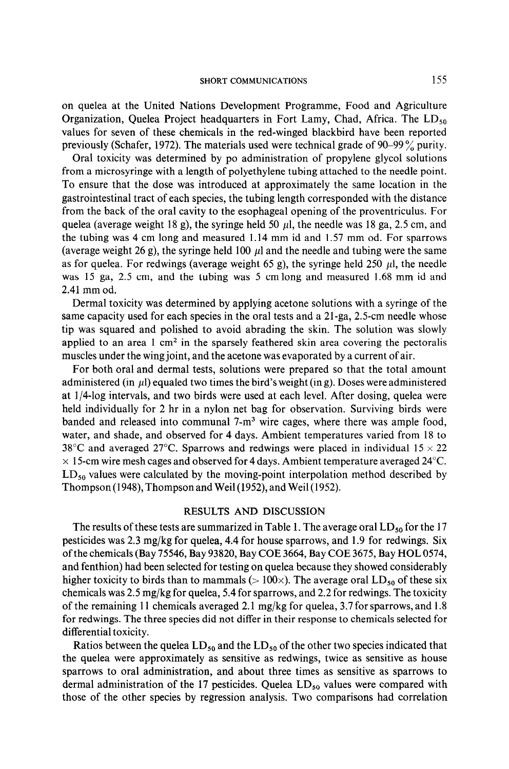on quelea at the United Nations Development Programme, Food and Agriculture Organization, Quelea Project headquarters in Fort Lamy, Chad, Africa. The  $LD_{50}$ values for seven of these chemicals in the red-winged blackbird have been reported previously (Schafer, 1972). The materials used were technical grade of 90-99 % purity.

Oral toxicity was determined by po administration of propylene glycol solutions from a microsyringe with a length of polyethylene tubing attached to the needle point. To ensure that the dose was introduced at approximately the same location in the gastrointestinal tract of each species, the tubing length corresponded with the distance from the back of the oral cavity to the esophageal opening of the proventriculus. For quelea (average weight 18 g), the syringe held 50  $\mu$ l, the needle was 18 ga, 2.5 cm, and the tubing was 4 cm long and measured 1.14 mm id and 1.57 mm od. For sparrows (average weight 26 g), the syringe held 100  $\mu$ l and the needle and tubing were the same as for quelea. For redwings (average weight 65 g), the syringe held 250  $\mu$ , the needle was 15 ga, 2.5 cm, and the tubing was 5 cm long and measured 1.68 mm id and 2.41 mm od.

Dermal toxicity was determined by applying acetone solutions with a syringe of the same capacity used for each species in the oral tests and a 21-ga, 2.5-cm needle whose tip was squared and polished to avoid abrading the skin. The solution was slowly applied to an area 1 cm<sup>2</sup> in the sparsely feathered skin area covering the pectoralis muscles under the wing joint, and the acetone was evaporated by a current of air. above and dermal tests, solutions were prepared so that the total and the total amount of the total amount of

administered two times the bird the bird the bird the bird dinoun  $\frac{1}{4}$ held in a ny long met bag, and two on as were asserted about foreit. Their dosing, quoted were held individually for 2 hr in a nylon net bag for observation. Surviving birds were banded and released into communal  $7-m<sup>3</sup>$  wire cages, where there was ample food, water, and shade, and observed for 4 days. Ambient temperatures varied from 18 to 38<sup>°</sup>C and averaged 27<sup>°</sup>C. Sparrows and redwings were placed in individual  $15 \times 22$  $\times$  15-cm wire mesh cages and observed for 4 days. Ambient temperature averaged 24°C.  $LD_{50}$  values were calculated by the moving-point interpolation method described by Thompson (1948), Thompson and Weil (1952), and Weil (1952).

# The results of the summarized in Table 1. The 17 The 17 The 17 The 17 The 17 The 17 The 17 The 17 The 17 The 17 The 17 The 17 The 17 The 17 The 17 The 17 The 17 The 17 The 17 The 17 The 17 The 17 The 17 The 17 The 17 The 1

The results of these tests are summarized in Table 1. The average oral  $LD_{50}$  for the 17 pesticides was  $2.3 \text{ mg/kg}$  for quelea, 4.4 for house sparrows, and 1.9 for redwings. Six of the chemicals (Bay 75546, Bay 93820, Bay COE 3664, Bay COE 3675, Bay HOL 0574, and fenthion) had been selected for testing on quelea because they showed considerably higher toxicity to birds than to mammals ( $> 100 \times$ ). The average oral LD<sub>50</sub> of these six chemicals was 2.5 mg/kg for quelea, 5.4 for sparrows, and 2.2 for redwings. The toxicity of the remaining 11 chemicals averaged 2.1 mg/kg for quelea, 3.7 for sparrows, and 1.8 for redwings. The three species did not differ in their response to chemicals selected for differential toxicity.

Ratios between the quelea LD<sub>50</sub> and the LD<sub>50</sub> of the other two species indicated that the quelea were approximately as sensitive as redwings, twice as sensitive as house sparrows to oral administration, and about three times as sensitive as sparrows to dermal administration of the 17 pesticides. Quelea  $LD_{50}$  values were compared with those of the other species by regression analysis. Two comparisons had correlation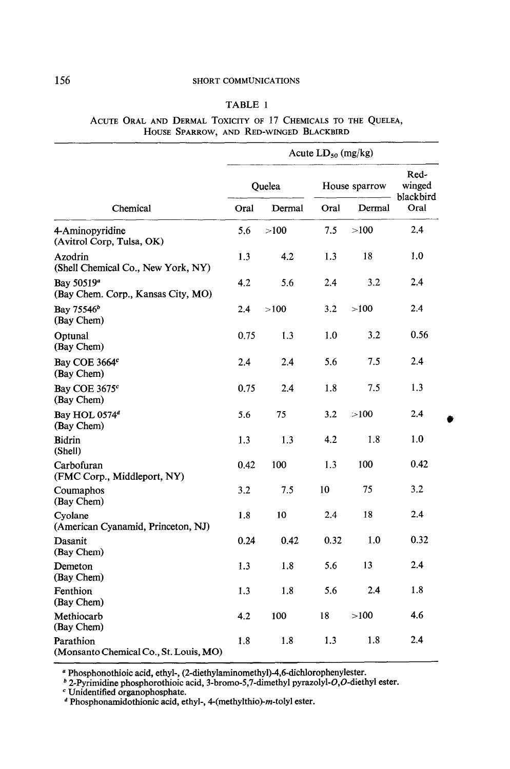### 156 SHORT COMMUNICATIONS

### TABLE 1

ACUTE ORAL AND DERMAL TOXICITY OF 17 CHEMICALS TO THE QUELEA, HOUSE SPARROW, AND RED-WINGED BLACKBIRD

| Chemical                                                     | Acute $LD_{50}$ (mg/kg) |        |               |        |                             |
|--------------------------------------------------------------|-------------------------|--------|---------------|--------|-----------------------------|
|                                                              | Quelea                  |        | House sparrow |        | Red-<br>winged<br>blackbird |
|                                                              | Oral                    | Dermal | Oral          | Dermal | Oral                        |
| 4-Aminopyridine<br>(Avitrol Corp, Tulsa, OK)                 | 5.6                     | >100   | 7.5           | >100   | 2.4                         |
| Azodrin<br>(Shell Chemical Co., New York, NY)                | 1.3                     | 4.2    | 1.3           | 18     | 1.0                         |
| Bay 50519 <sup>a</sup><br>(Bay Chem. Corp., Kansas City, MO) | 4.2                     | 5.6    | 2.4           | 3.2    | 2.4                         |
| Bay 75546 <sup>b</sup><br>(Bay Chem)                         | 2.4                     | >100   | 3.2           | >100   | 2.4                         |
| Optunal<br>(Bay Chem)                                        | 0.75                    | 1.3    | 1.0           | 3.2    | 0.56                        |
| Bay COE 3664 <sup>c</sup><br>(Bay Chem)                      | 2.4                     | 2.4    | 5.6           | 7.5    | 2.4                         |
| Bay COE 3675 <sup>c</sup><br>(Bay Chem)                      | 0.75                    | 2.4    | 1.8           | 7.5    | 1.3                         |
| Bay HOL 0574 <sup>d</sup><br>(Bay Chem)                      | 5.6                     | 75     | 3.2           | >100   | 2.4                         |
| <b>Bidrin</b><br>(Shell)                                     | 1.3                     | 1.3    | 4.2           | 1.8    | 1.0                         |
| Carbofuran<br>(FMC Corp., Middleport, NY)                    | 0.42                    | 100    | 1.3           | 100    | 0.42                        |
| Coumaphos<br>(Bay Chem)                                      | 3.2                     | 7.5    | 10            | 75     | 3.2                         |
| Cyolane<br>(American Cyanamid, Princeton, NJ)                | 1.8                     | 10     | 2.4           | 18     | 2.4                         |
| Dasanit<br>(Bay Chem)                                        | 0.24                    | 0.42   | 0.32          | 1.0    | 0.32                        |
| Demeton<br>(Bay Chem)                                        | 1.3                     | 1.8    | 5.6           | 13     | 2.4                         |
| Fenthion<br>(Bay Chem)                                       | 1.3                     | 1.8    | 5.6           | 2.4    | 1.8                         |
| Methiocarb<br>(Bay Chem)                                     | 4.2                     | 100    | 18            | >100   | 4.6                         |
| Parathion<br>(Monsanto Chemical Co., St. Louis, MO)          | 1.8                     | 1.8    | 1.3           | 1.8    | 2.4                         |

' Phosphonothioic acid, ethyl-, (2-diethylaminomethyl)-4,6dichJorophenylester.  $\alpha$  Phosphonothioic acid, ethyl-, (2-diethylaminomethyl)-4.6-dichlorophenylester.

 $^{\circ}$  2-Pyrimidine phosphorothioic as

 $\alpha$  Photomamidotheoryl access  $\alpha$  and  $\beta$  exters.